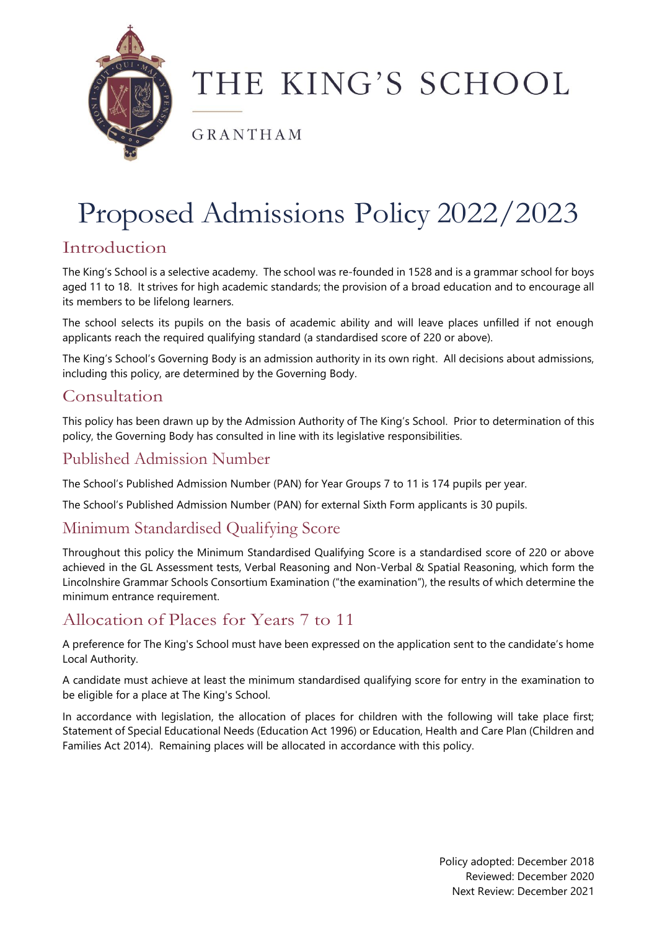

# THE KING'S SCHOOL

GRANTHAM

# Proposed Admissions Policy 2022/2023

## Introduction

The King's School is a selective academy. The school was re-founded in 1528 and is a grammar school for boys aged 11 to 18. It strives for high academic standards; the provision of a broad education and to encourage all its members to be lifelong learners.

The school selects its pupils on the basis of academic ability and will leave places unfilled if not enough applicants reach the required qualifying standard (a standardised score of 220 or above).

The King's School's Governing Body is an admission authority in its own right. All decisions about admissions, including this policy, are determined by the Governing Body.

## Consultation

This policy has been drawn up by the Admission Authority of The King's School. Prior to determination of this policy, the Governing Body has consulted in line with its legislative responsibilities.

## Published Admission Number

The School's Published Admission Number (PAN) for Year Groups 7 to 11 is 174 pupils per year.

The School's Published Admission Number (PAN) for external Sixth Form applicants is 30 pupils.

## Minimum Standardised Qualifying Score

Throughout this policy the Minimum Standardised Qualifying Score is a standardised score of 220 or above achieved in the GL Assessment tests, Verbal Reasoning and Non-Verbal & Spatial Reasoning, which form the Lincolnshire Grammar Schools Consortium Examination ("the examination"), the results of which determine the minimum entrance requirement.

# Allocation of Places for Years 7 to 11

A preference for The King's School must have been expressed on the application sent to the candidate's home Local Authority.

A candidate must achieve at least the minimum standardised qualifying score for entry in the examination to be eligible for a place at The King's School.

In accordance with legislation, the allocation of places for children with the following will take place first; Statement of Special Educational Needs (Education Act 1996) or Education, Health and Care Plan (Children and Families Act 2014). Remaining places will be allocated in accordance with this policy.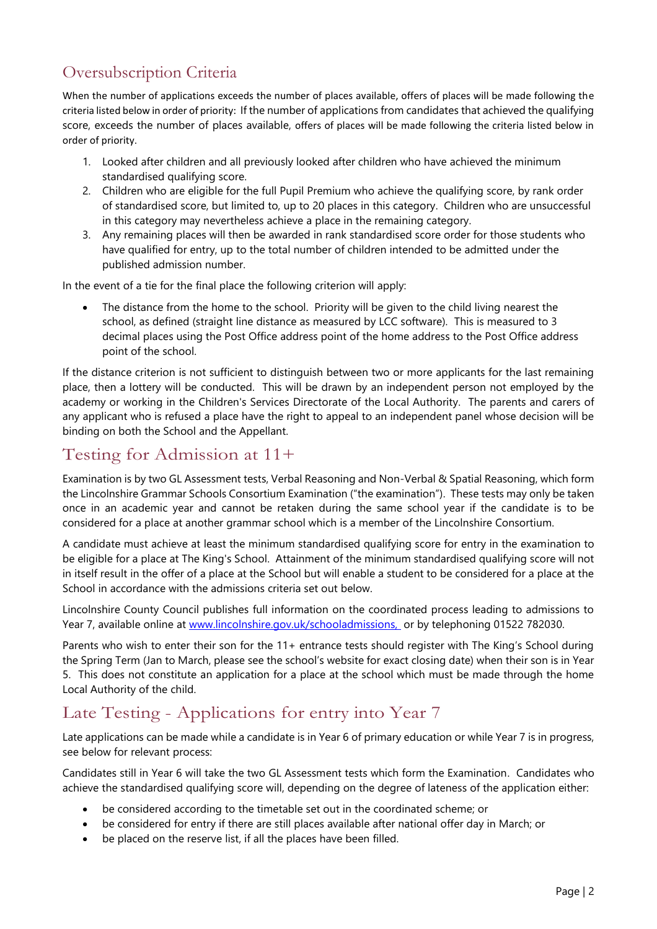# Oversubscription Criteria

When the number of applications exceeds the number of places available, offers of places will be made following the criteria listed below in order of priority: If the number of applications from candidates that achieved the qualifying score, exceeds the number of places available, offers of places will be made following the criteria listed below in order of priority.

- 1. Looked after children and all previously looked after children who have achieved the minimum standardised qualifying score.
- 2. Children who are eligible for the full Pupil Premium who achieve the qualifying score, by rank order of standardised score, but limited to, up to 20 places in this category. Children who are unsuccessful in this category may nevertheless achieve a place in the remaining category.
- 3. Any remaining places will then be awarded in rank standardised score order for those students who have qualified for entry, up to the total number of children intended to be admitted under the published admission number.

In the event of a tie for the final place the following criterion will apply:

The distance from the home to the school. Priority will be given to the child living nearest the school, as defined (straight line distance as measured by LCC software). This is measured to 3 decimal places using the Post Office address point of the home address to the Post Office address point of the school.

If the distance criterion is not sufficient to distinguish between two or more applicants for the last remaining place, then a lottery will be conducted. This will be drawn by an independent person not employed by the academy or working in the Children's Services Directorate of the Local Authority. The parents and carers of any applicant who is refused a place have the right to appeal to an independent panel whose decision will be binding on both the School and the Appellant.

# Testing for Admission at 11+

Examination is by two GL Assessment tests, Verbal Reasoning and Non-Verbal & Spatial Reasoning, which form the Lincolnshire Grammar Schools Consortium Examination ("the examination"). These tests may only be taken once in an academic year and cannot be retaken during the same school year if the candidate is to be considered for a place at another grammar school which is a member of the Lincolnshire Consortium.

A candidate must achieve at least the minimum standardised qualifying score for entry in the examination to be eligible for a place at The King's School. Attainment of the minimum standardised qualifying score will not in itself result in the offer of a place at the School but will enable a student to be considered for a place at the School in accordance with the admissions criteria set out below.

Lincolnshire County Council publishes full information on the coordinated process leading to admissions to Year 7, available online at [www.lincolnshire.gov.uk/schooladmissions,](http://www.lincolnshire.gov.uk/schooladmissions) or by telephoning 01522 782030.

Parents who wish to enter their son for the 11+ entrance tests should register with The King's School during the Spring Term (Jan to March, please see the school's website for exact closing date) when their son is in Year 5. This does not constitute an application for a place at the school which must be made through the home Local Authority of the child.

# Late Testing - Applications for entry into Year 7

Late applications can be made while a candidate is in Year 6 of primary education or while Year 7 is in progress, see below for relevant process:

Candidates still in Year 6 will take the two GL Assessment tests which form the Examination. Candidates who achieve the standardised qualifying score will, depending on the degree of lateness of the application either:

- be considered according to the timetable set out in the coordinated scheme; or
- be considered for entry if there are still places available after national offer day in March; or
- be placed on the reserve list, if all the places have been filled.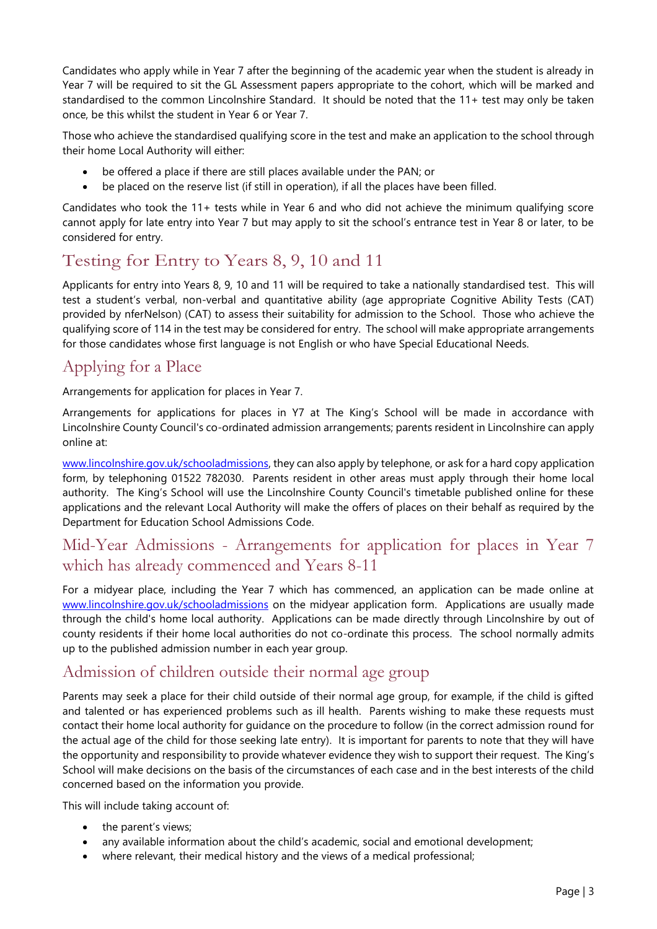Candidates who apply while in Year 7 after the beginning of the academic year when the student is already in Year 7 will be required to sit the GL Assessment papers appropriate to the cohort, which will be marked and standardised to the common Lincolnshire Standard. It should be noted that the 11+ test may only be taken once, be this whilst the student in Year 6 or Year 7.

Those who achieve the standardised qualifying score in the test and make an application to the school through their home Local Authority will either:

- be offered a place if there are still places available under the PAN; or
- be placed on the reserve list (if still in operation), if all the places have been filled.

Candidates who took the 11+ tests while in Year 6 and who did not achieve the minimum qualifying score cannot apply for late entry into Year 7 but may apply to sit the school's entrance test in Year 8 or later, to be considered for entry.

# Testing for Entry to Years 8, 9, 10 and 11

Applicants for entry into Years 8, 9, 10 and 11 will be required to take a nationally standardised test. This will test a student's verbal, non-verbal and quantitative ability (age appropriate Cognitive Ability Tests (CAT) provided by nferNelson) (CAT) to assess their suitability for admission to the School. Those who achieve the qualifying score of 114 in the test may be considered for entry. The school will make appropriate arrangements for those candidates whose first language is not English or who have Special Educational Needs.

# Applying for a Place

Arrangements for application for places in Year 7.

Arrangements for applications for places in Y7 at The King's School will be made in accordance with Lincolnshire County Council's co-ordinated admission arrangements; parents resident in Lincolnshire can apply online at:

[www.lincolnshire.gov.uk/schooladmissions,](http://www.lincolnshire.gov.uk/schooladmissions) they can also apply by telephone, or ask for a hard copy application form, by telephoning 01522 782030. Parents resident in other areas must apply through their home local authority. The King's School will use the Lincolnshire County Council's timetable published online for these applications and the relevant Local Authority will make the offers of places on their behalf as required by the Department for Education School Admissions Code.

## Mid-Year Admissions - Arrangements for application for places in Year 7 which has already commenced and Years 8-11

For a midyear place, including the Year 7 which has commenced, an application can be made online at [www.lincolnshire.gov.uk/schooladmissions](http://www.lincolnshire.gov.uk/schooladmissions) on the midyear application form. Applications are usually made through the child's home local authority. Applications can be made directly through Lincolnshire by out of county residents if their home local authorities do not co-ordinate this process. The school normally admits up to the published admission number in each year group.

### Admission of children outside their normal age group

Parents may seek a place for their child outside of their normal age group, for example, if the child is gifted and talented or has experienced problems such as ill health. Parents wishing to make these requests must contact their home local authority for guidance on the procedure to follow (in the correct admission round for the actual age of the child for those seeking late entry). It is important for parents to note that they will have the opportunity and responsibility to provide whatever evidence they wish to support their request. The King's School will make decisions on the basis of the circumstances of each case and in the best interests of the child concerned based on the information you provide.

This will include taking account of:

- the parent's views;
- any available information about the child's academic, social and emotional development;
- where relevant, their medical history and the views of a medical professional;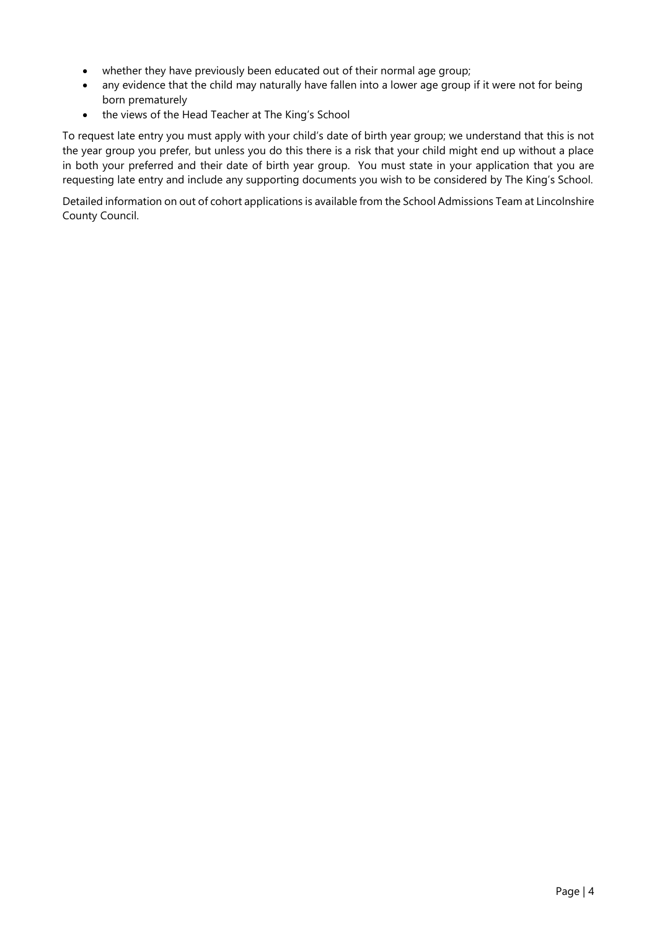- whether they have previously been educated out of their normal age group;
- any evidence that the child may naturally have fallen into a lower age group if it were not for being born prematurely
- the views of the Head Teacher at The King's School

To request late entry you must apply with your child's date of birth year group; we understand that this is not the year group you prefer, but unless you do this there is a risk that your child might end up without a place in both your preferred and their date of birth year group. You must state in your application that you are requesting late entry and include any supporting documents you wish to be considered by The King's School.

Detailed information on out of cohort applications is available from the School Admissions Team at Lincolnshire County Council.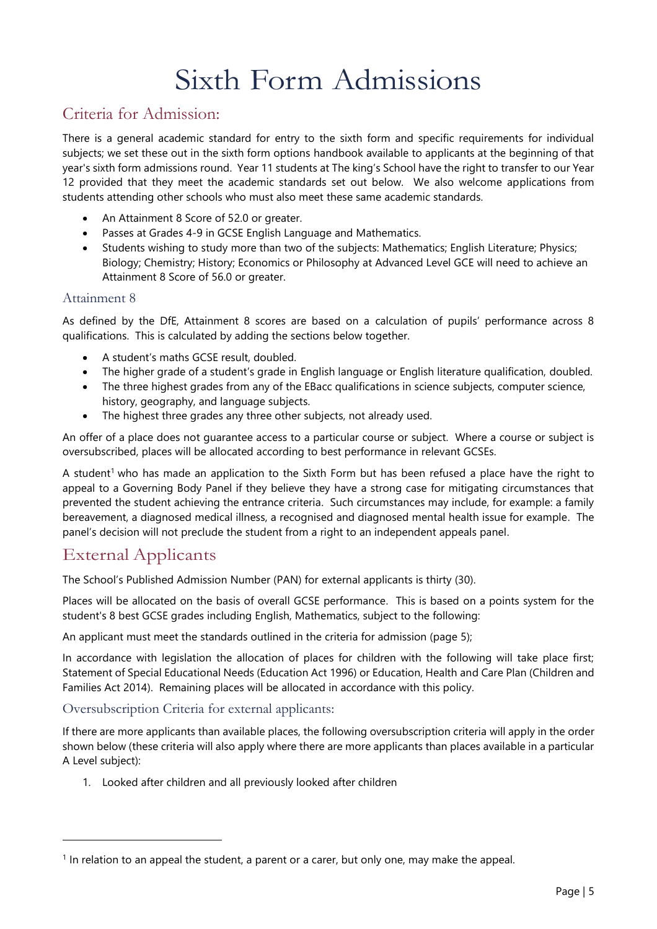# Sixth Form Admissions

### Criteria for Admission:

There is a general academic standard for entry to the sixth form and specific requirements for individual subjects; we set these out in the sixth form options handbook available to applicants at the beginning of that year's sixth form admissions round. Year 11 students at The king's School have the right to transfer to our Year 12 provided that they meet the academic standards set out below. We also welcome applications from students attending other schools who must also meet these same academic standards.

- An Attainment 8 Score of 52.0 or greater.
- Passes at Grades 4-9 in GCSE English Language and Mathematics.
- Students wishing to study more than two of the subjects: Mathematics; English Literature; Physics; Biology; Chemistry; History; Economics or Philosophy at Advanced Level GCE will need to achieve an Attainment 8 Score of 56.0 or greater.

#### Attainment 8

As defined by the DfE, Attainment 8 scores are based on a calculation of pupils' performance across 8 qualifications. This is calculated by adding the sections below together.

- A student's maths GCSE result, doubled.
- The higher grade of a student's grade in English language or English literature qualification, doubled.
- The three highest grades from any of the EBacc qualifications in science subjects, computer science, history, geography, and language subjects.
- The highest three grades any three other subjects, not already used.

An offer of a place does not guarantee access to a particular course or subject. Where a course or subject is oversubscribed, places will be allocated according to best performance in relevant GCSEs.

A student<sup>1</sup> who has made an application to the Sixth Form but has been refused a place have the right to appeal to a Governing Body Panel if they believe they have a strong case for mitigating circumstances that prevented the student achieving the entrance criteria. Such circumstances may include, for example: a family bereavement, a diagnosed medical illness, a recognised and diagnosed mental health issue for example. The panel's decision will not preclude the student from a right to an independent appeals panel.

### External Applicants

The School's Published Admission Number (PAN) for external applicants is thirty (30).

Places will be allocated on the basis of overall GCSE performance. This is based on a points system for the student's 8 best GCSE grades including English, Mathematics, subject to the following:

An applicant must meet the standards outlined in the criteria for admission (page 5);

In accordance with legislation the allocation of places for children with the following will take place first; Statement of Special Educational Needs (Education Act 1996) or Education, Health and Care Plan (Children and Families Act 2014). Remaining places will be allocated in accordance with this policy.

#### Oversubscription Criteria for external applicants:

If there are more applicants than available places, the following oversubscription criteria will apply in the order shown below (these criteria will also apply where there are more applicants than places available in a particular A Level subject):

1. Looked after children and all previously looked after children

<sup>&</sup>lt;sup>1</sup> In relation to an appeal the student, a parent or a carer, but only one, may make the appeal.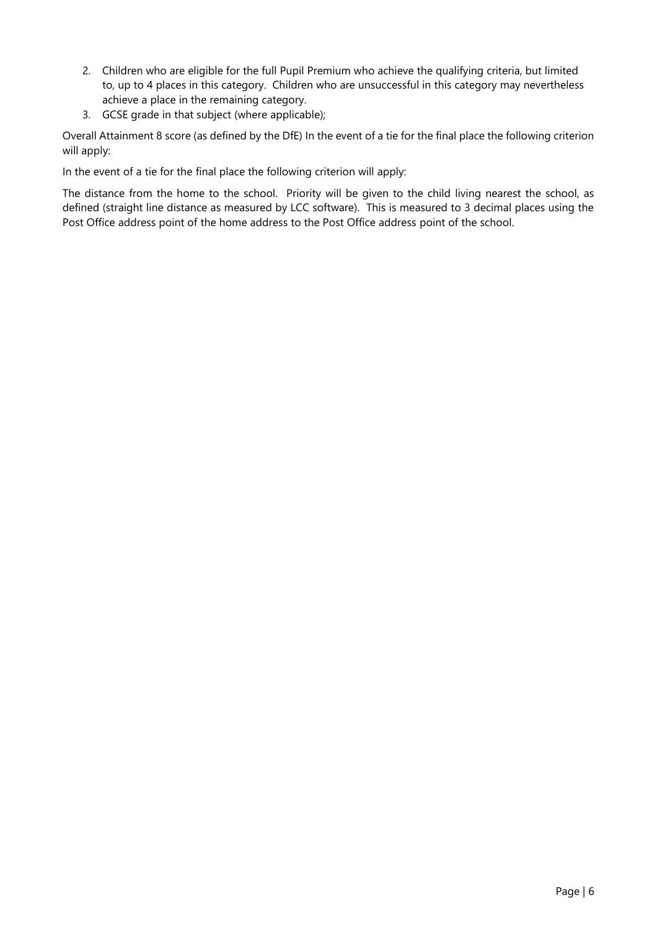- 2. Children who are eligible for the full Pupil Premium who achieve the qualifying criteria, but limited to, up to 4 places in this category. Children who are unsuccessful in this category may nevertheless achieve a place in the remaining category.
- 3. GCSE grade in that subject (where applicable);

Overall Attainment 8 score (as defined by the DfE) In the event of a tie for the final place the following criterion will apply:

In the event of a tie for the final place the following criterion will apply:

The distance from the home to the school. Priority will be given to the child living nearest the school, as defined (straight line distance as measured by LCC software). This is measured to 3 decimal places using the Post Office address point of the home address to the Post Office address point of the school.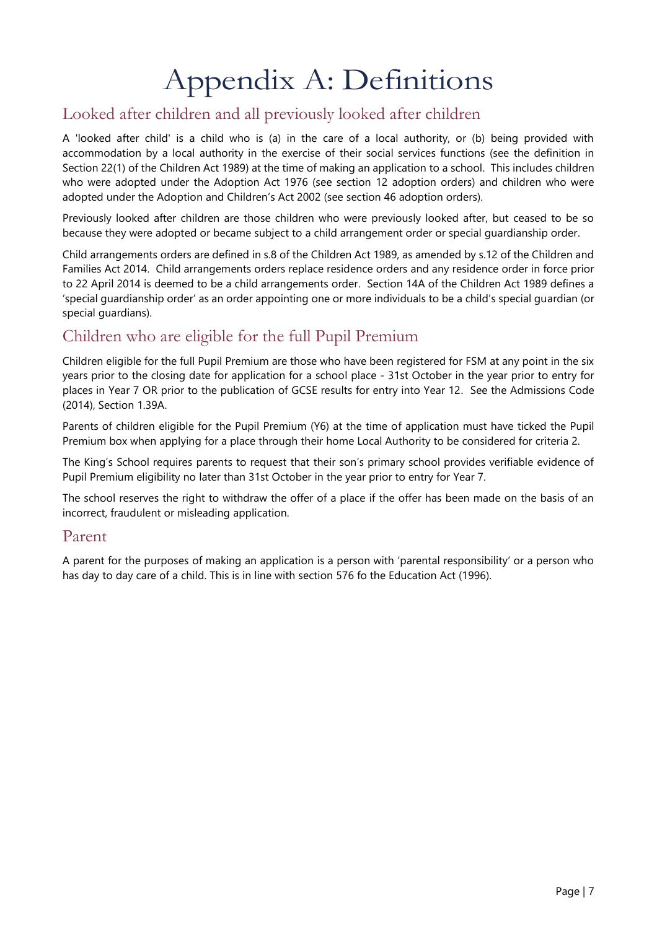# Appendix A: Definitions

# Looked after children and all previously looked after children

A 'looked after child' is a child who is (a) in the care of a local authority, or (b) being provided with accommodation by a local authority in the exercise of their social services functions (see the definition in Section 22(1) of the Children Act 1989) at the time of making an application to a school. This includes children who were adopted under the Adoption Act 1976 (see section 12 adoption orders) and children who were adopted under the Adoption and Children's Act 2002 (see section 46 adoption orders).

Previously looked after children are those children who were previously looked after, but ceased to be so because they were adopted or became subject to a child arrangement order or special guardianship order.

Child arrangements orders are defined in s.8 of the Children Act 1989, as amended by s.12 of the Children and Families Act 2014. Child arrangements orders replace residence orders and any residence order in force prior to 22 April 2014 is deemed to be a child arrangements order. Section 14A of the Children Act 1989 defines a 'special guardianship order' as an order appointing one or more individuals to be a child's special guardian (or special guardians).

## Children who are eligible for the full Pupil Premium

Children eligible for the full Pupil Premium are those who have been registered for FSM at any point in the six years prior to the closing date for application for a school place - 31st October in the year prior to entry for places in Year 7 OR prior to the publication of GCSE results for entry into Year 12. See the Admissions Code (2014), Section 1.39A.

Parents of children eligible for the Pupil Premium (Y6) at the time of application must have ticked the Pupil Premium box when applying for a place through their home Local Authority to be considered for criteria 2.

The King's School requires parents to request that their son's primary school provides verifiable evidence of Pupil Premium eligibility no later than 31st October in the year prior to entry for Year 7.

The school reserves the right to withdraw the offer of a place if the offer has been made on the basis of an incorrect, fraudulent or misleading application.

#### Parent

A parent for the purposes of making an application is a person with 'parental responsibility' or a person who has day to day care of a child. This is in line with section 576 fo the Education Act (1996).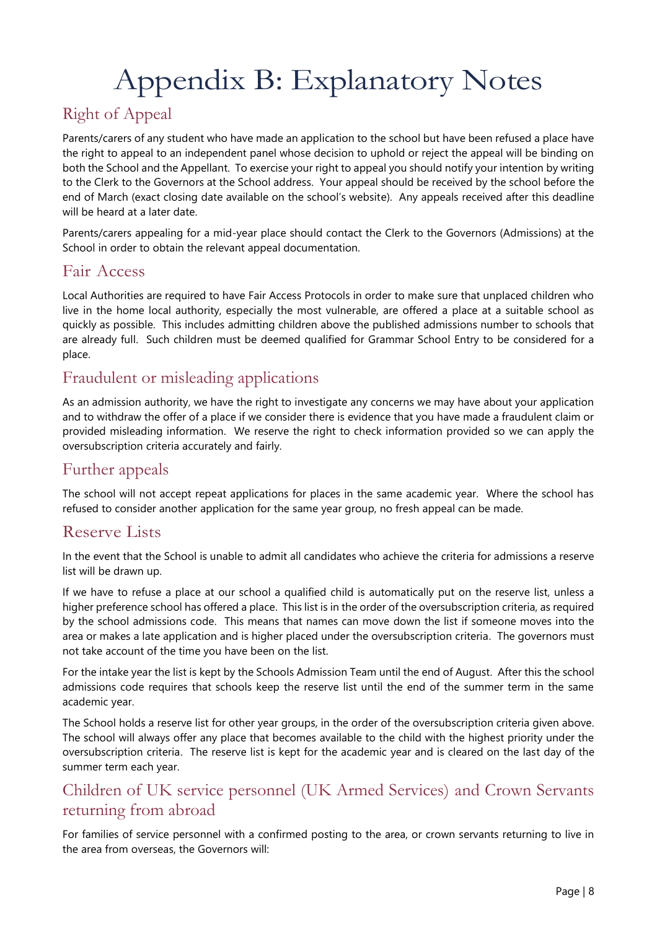# Appendix B: Explanatory Notes

# Right of Appeal

Parents/carers of any student who have made an application to the school but have been refused a place have the right to appeal to an independent panel whose decision to uphold or reject the appeal will be binding on both the School and the Appellant. To exercise your right to appeal you should notify your intention by writing to the Clerk to the Governors at the School address. Your appeal should be received by the school before the end of March (exact closing date available on the school's website). Any appeals received after this deadline will be heard at a later date.

Parents/carers appealing for a mid-year place should contact the Clerk to the Governors (Admissions) at the School in order to obtain the relevant appeal documentation.

### Fair Access

Local Authorities are required to have Fair Access Protocols in order to make sure that unplaced children who live in the home local authority, especially the most vulnerable, are offered a place at a suitable school as quickly as possible. This includes admitting children above the published admissions number to schools that are already full. Such children must be deemed qualified for Grammar School Entry to be considered for a place.

## Fraudulent or misleading applications

As an admission authority, we have the right to investigate any concerns we may have about your application and to withdraw the offer of a place if we consider there is evidence that you have made a fraudulent claim or provided misleading information. We reserve the right to check information provided so we can apply the oversubscription criteria accurately and fairly.

## Further appeals

The school will not accept repeat applications for places in the same academic year. Where the school has refused to consider another application for the same year group, no fresh appeal can be made.

## Reserve Lists

In the event that the School is unable to admit all candidates who achieve the criteria for admissions a reserve list will be drawn up.

If we have to refuse a place at our school a qualified child is automatically put on the reserve list, unless a higher preference school has offered a place. This list is in the order of the oversubscription criteria, as required by the school admissions code. This means that names can move down the list if someone moves into the area or makes a late application and is higher placed under the oversubscription criteria. The governors must not take account of the time you have been on the list.

For the intake year the list is kept by the Schools Admission Team until the end of August. After this the school admissions code requires that schools keep the reserve list until the end of the summer term in the same academic year.

The School holds a reserve list for other year groups, in the order of the oversubscription criteria given above. The school will always offer any place that becomes available to the child with the highest priority under the oversubscription criteria. The reserve list is kept for the academic year and is cleared on the last day of the summer term each year.

## Children of UK service personnel (UK Armed Services) and Crown Servants returning from abroad

For families of service personnel with a confirmed posting to the area, or crown servants returning to live in the area from overseas, the Governors will: